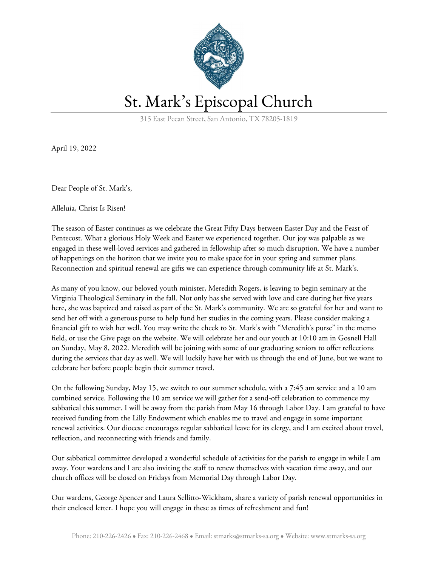

## St. Mark's Episcopal Church

315 East Pecan Street, San Antonio, TX 78205-1819

April 19, 2022

Dear People of St. Mark's,

Alleluia, Christ Is Risen!

The season of Easter continues as we celebrate the Great Fifty Days between Easter Day and the Feast of Pentecost. What a glorious Holy Week and Easter we experienced together. Our joy was palpable as we engaged in these well-loved services and gathered in fellowship after so much disruption. We have a number of happenings on the horizon that we invite you to make space for in your spring and summer plans. Reconnection and spiritual renewal are gifts we can experience through community life at St. Mark's.

As many of you know, our beloved youth minister, Meredith Rogers, is leaving to begin seminary at the Virginia Theological Seminary in the fall. Not only has she served with love and care during her five years here, she was baptized and raised as part of the St. Mark's community. We are so grateful for her and want to send her off with a generous purse to help fund her studies in the coming years. Please consider making a financial gift to wish her well. You may write the check to St. Mark's with "Meredith's purse" in the memo field, or use the Give page on the website. We will celebrate her and our youth at 10:10 am in Gosnell Hall on Sunday, May 8, 2022. Meredith will be joining with some of our graduating seniors to offer reflections during the services that day as well. We will luckily have her with us through the end of June, but we want to celebrate her before people begin their summer travel.

On the following Sunday, May 15, we switch to our summer schedule, with a 7:45 am service and a 10 am combined service. Following the 10 am service we will gather for a send-off celebration to commence my sabbatical this summer. I will be away from the parish from May 16 through Labor Day. I am grateful to have received funding from the Lilly Endowment which enables me to travel and engage in some important renewal activities. Our diocese encourages regular sabbatical leave for its clergy, and I am excited about travel, reflection, and reconnecting with friends and family.

Our sabbatical committee developed a wonderful schedule of activities for the parish to engage in while I am away. Your wardens and I are also inviting the staff to renew themselves with vacation time away, and our church offices will be closed on Fridays from Memorial Day through Labor Day.

Our wardens, George Spencer and Laura Sellitto-Wickham, share a variety of parish renewal opportunities in their enclosed letter. I hope you will engage in these as times of refreshment and fun!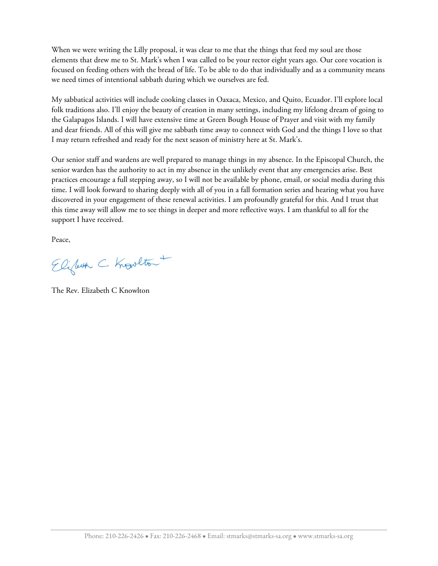When we were writing the Lilly proposal, it was clear to me that the things that feed my soul are those elements that drew me to St. Mark's when I was called to be your rector eight years ago. Our core vocation is focused on feeding others with the bread of life. To be able to do that individually and as a community means we need times of intentional sabbath during which we ourselves are fed.

My sabbatical activities will include cooking classes in Oaxaca, Mexico, and Quito, Ecuador. I'll explore local folk traditions also. I'll enjoy the beauty of creation in many settings, including my lifelong dream of going to the Galapagos Islands. I will have extensive time at Green Bough House of Prayer and visit with my family and dear friends. All of this will give me sabbath time away to connect with God and the things I love so that I may return refreshed and ready for the next season of ministry here at St. Mark's.

Our senior staff and wardens are well prepared to manage things in my absence. In the Episcopal Church, the senior warden has the authority to act in my absence in the unlikely event that any emergencies arise. Best practices encourage a full stepping away, so I will not be available by phone, email, or social media during this time. I will look forward to sharing deeply with all of you in a fall formation series and hearing what you have discovered in your engagement of these renewal activities. I am profoundly grateful for this. And I trust that this time away will allow me to see things in deeper and more reflective ways. I am thankful to all for the support I have received.

Peace,

Elifuth C Knowlton

The Rev. Elizabeth C Knowlton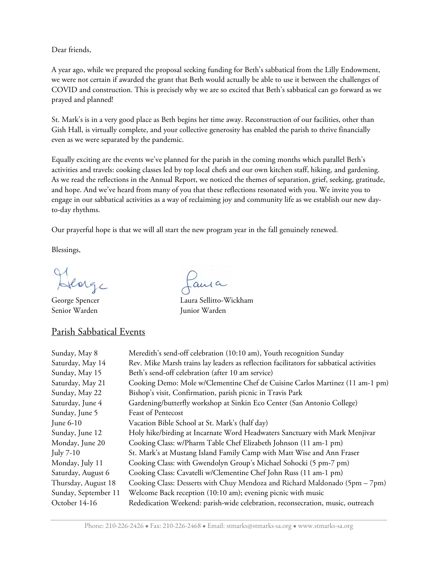Dear friends,

A year ago, while we prepared the proposal seeking funding for Beth's sabbatical from the Lilly Endowment, we were not certain if awarded the grant that Beth would actually be able to use it between the challenges of COVID and construction. This is precisely why we are so excited that Beth's sabbatical can go forward as we prayed and planned!

St. Mark's is in a very good place as Beth begins her time away. Reconstruction of our facilities, other than Gish Hall, is virtually complete, and your collective generosity has enabled the parish to thrive financially even as we were separated by the pandemic.

Equally exciting are the events we've planned for the parish in the coming months which parallel Beth's activities and travels: cooking classes led by top local chefs and our own kitchen staff, hiking, and gardening. As we read the reflections in the Annual Report, we noticed the themes of separation, grief, seeking, gratitude, and hope. And we've heard from many of you that these reflections resonated with you. We invite you to engage in our sabbatical activities as a way of reclaiming joy and community life as we establish our new dayto-day rhythms.

Our prayerful hope is that we will all start the new program year in the fall genuinely renewed.

Blessings,

Heorge

Senior Warden Junior Warden

## Laura

George Spencer Laura Sellitto-Wickham

| <b>Parish Sabbatical Events</b> |
|---------------------------------|
|---------------------------------|

| Sunday, May 8        | Meredith's send-off celebration (10:10 am), Youth recognition Sunday                    |
|----------------------|-----------------------------------------------------------------------------------------|
| Saturday, May 14     | Rev. Mike Marsh trains lay leaders as reflection facilitators for sabbatical activities |
| Sunday, May 15       | Beth's send-off celebration (after 10 am service)                                       |
| Saturday, May 21     | Cooking Demo: Mole w/Clementine Chef de Cuisine Carlos Martinez (11 am-1 pm)            |
| Sunday, May 22       | Bishop's visit, Confirmation, parish picnic in Travis Park                              |
| Saturday, June 4     | Gardening/butterfly workshop at Sinkin Eco Center (San Antonio College)                 |
| Sunday, June 5       | Feast of Pentecost                                                                      |
| June $6-10$          | Vacation Bible School at St. Mark's (half day)                                          |
| Sunday, June 12      | Holy hike/birding at Incarnate Word Headwaters Sanctuary with Mark Menjivar             |
| Monday, June 20      | Cooking Class: w/Pharm Table Chef Elizabeth Johnson (11 am-1 pm)                        |
| July 7-10            | St. Mark's at Mustang Island Family Camp with Matt Wise and Ann Fraser                  |
| Monday, July 11      | Cooking Class: with Gwendolyn Group's Michael Sohocki (5 pm-7 pm)                       |
| Saturday, August 6   | Cooking Class: Cavatelli w/Clementine Chef John Russ (11 am-1 pm)                       |
| Thursday, August 18  | Cooking Class: Desserts with Chuy Mendoza and Richard Maldonado (5pm - 7pm)             |
| Sunday, September 11 | Welcome Back reception (10:10 am); evening picnic with music                            |
| October 14-16        | Rededication Weekend: parish-wide celebration, reconsecration, music, outreach          |